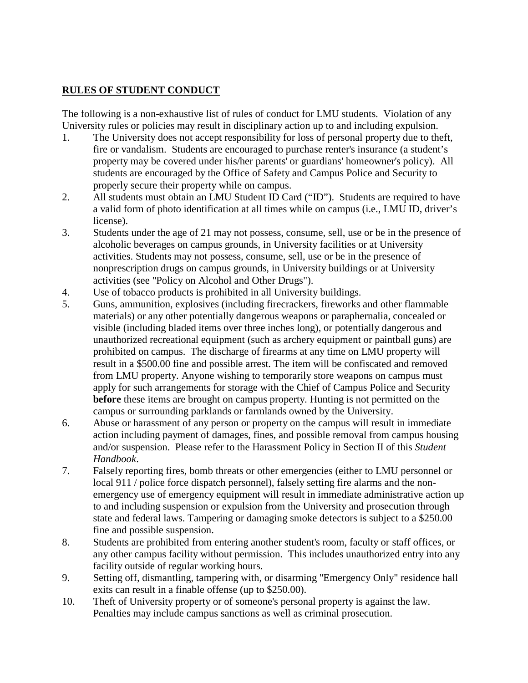## **RULES OF STUDENT CONDUCT**

The following is a non-exhaustive list of rules of conduct for LMU students. Violation of any University rules or policies may result in disciplinary action up to and including expulsion.

- 1. The University does not accept responsibility for loss of personal property due to theft, fire or vandalism. Students are encouraged to purchase renter's insurance (a student's property may be covered under his/her parents' or guardians' homeowner's policy). All students are encouraged by the Office of Safety and Campus Police and Security to properly secure their property while on campus.
- 2. All students must obtain an LMU Student ID Card ("ID"). Students are required to have a valid form of photo identification at all times while on campus (i.e., LMU ID, driver's license).
- 3. Students under the age of 21 may not possess, consume, sell, use or be in the presence of alcoholic beverages on campus grounds, in University facilities or at University activities. Students may not possess, consume, sell, use or be in the presence of nonprescription drugs on campus grounds, in University buildings or at University activities (see "Policy on Alcohol and Other Drugs").
- 4. Use of tobacco products is prohibited in all University buildings.
- 5. Guns, ammunition, explosives (including firecrackers, fireworks and other flammable materials) or any other potentially dangerous weapons or paraphernalia, concealed or visible (including bladed items over three inches long), or potentially dangerous and unauthorized recreational equipment (such as archery equipment or paintball guns) are prohibited on campus. The discharge of firearms at any time on LMU property will result in a \$500.00 fine and possible arrest. The item will be confiscated and removed from LMU property. Anyone wishing to temporarily store weapons on campus must apply for such arrangements for storage with the Chief of Campus Police and Security **before** these items are brought on campus property. Hunting is not permitted on the campus or surrounding parklands or farmlands owned by the University.
- 6. Abuse or harassment of any person or property on the campus will result in immediate action including payment of damages, fines, and possible removal from campus housing and/or suspension. Please refer to the Harassment Policy in Section II of this *Student Handbook*.
- 7. Falsely reporting fires, bomb threats or other emergencies (either to LMU personnel or local 911 / police force dispatch personnel), falsely setting fire alarms and the nonemergency use of emergency equipment will result in immediate administrative action up to and including suspension or expulsion from the University and prosecution through state and federal laws. Tampering or damaging smoke detectors is subject to a \$250.00 fine and possible suspension.
- 8. Students are prohibited from entering another student's room, faculty or staff offices, or any other campus facility without permission. This includes unauthorized entry into any facility outside of regular working hours.
- 9. Setting off, dismantling, tampering with, or disarming "Emergency Only" residence hall exits can result in a finable offense (up to \$250.00).
- 10. Theft of University property or of someone's personal property is against the law. Penalties may include campus sanctions as well as criminal prosecution.